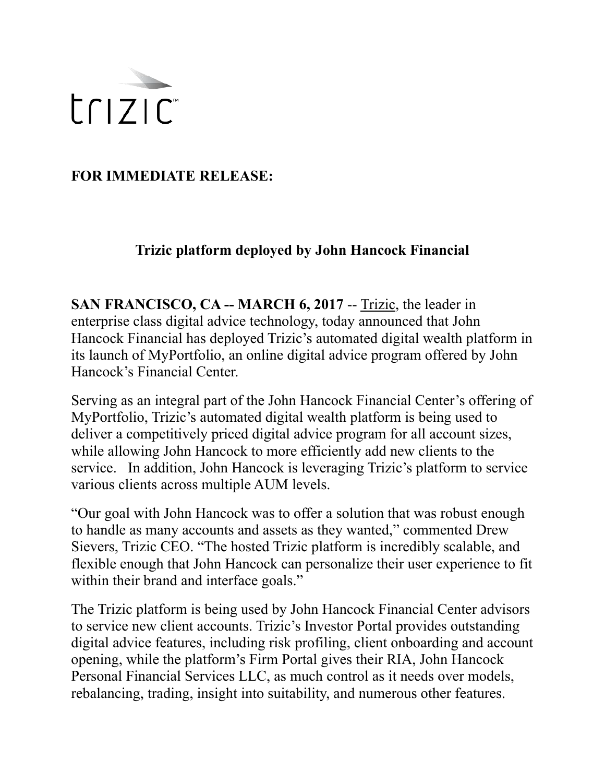

**FOR IMMEDIATE RELEASE:** 

## **Trizic platform deployed by John Hancock Financial**

**SAN FRANCISCO, CA -- MARCH 6, 2017 -- [Trizic](http://www.trizic.com), the leader in** enterprise class digital advice technology, today announced that John Hancock Financial has deployed Trizic's automated digital wealth platform in its launch of MyPortfolio, an online digital advice program offered by John Hancock's Financial Center.

Serving as an integral part of the John Hancock Financial Center's offering of MyPortfolio, Trizic's automated digital wealth platform is being used to deliver a competitively priced digital advice program for all account sizes, while allowing John Hancock to more efficiently add new clients to the service. In addition, John Hancock is leveraging Trizic's platform to service various clients across multiple AUM levels.

"Our goal with John Hancock was to offer a solution that was robust enough to handle as many accounts and assets as they wanted," commented Drew Sievers, Trizic CEO. "The hosted Trizic platform is incredibly scalable, and flexible enough that John Hancock can personalize their user experience to fit within their brand and interface goals."

The Trizic platform is being used by John Hancock Financial Center advisors to service new client accounts. Trizic's Investor Portal provides outstanding digital advice features, including risk profiling, client onboarding and account opening, while the platform's Firm Portal gives their RIA, John Hancock Personal Financial Services LLC, as much control as it needs over models, rebalancing, trading, insight into suitability, and numerous other features.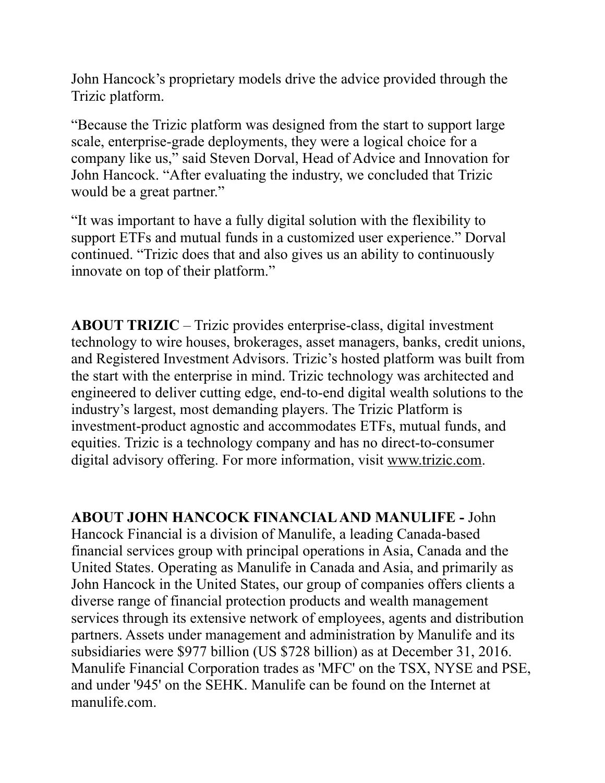John Hancock's proprietary models drive the advice provided through the Trizic platform.

"Because the Trizic platform was designed from the start to support large scale, enterprise-grade deployments, they were a logical choice for a company like us," said Steven Dorval, Head of Advice and Innovation for John Hancock. "After evaluating the industry, we concluded that Trizic would be a great partner."

"It was important to have a fully digital solution with the flexibility to support ETFs and mutual funds in a customized user experience." Dorval continued. "Trizic does that and also gives us an ability to continuously innovate on top of their platform."

**ABOUT TRIZIC** – Trizic provides enterprise-class, digital investment technology to wire houses, brokerages, asset managers, banks, credit unions, and Registered Investment Advisors. Trizic's hosted platform was built from the start with the enterprise in mind. Trizic technology was architected and engineered to deliver cutting edge, end-to-end digital wealth solutions to the industry's largest, most demanding players. The Trizic Platform is investment-product agnostic and accommodates ETFs, mutual funds, and equities. Trizic is a technology company and has no direct-to-consumer digital advisory offering. For more information, visit [www.trizic.com.](http://www.trizic.com)

**ABOUT JOHN HANCOCK FINANCIAL AND MANULIFE -** John Hancock Financial is a division of Manulife, a leading Canada-based financial services group with principal operations in Asia, Canada and the United States. Operating as Manulife in Canada and Asia, and primarily as John Hancock in the United States, our group of companies offers clients a diverse range of financial protection products and wealth management services through its extensive network of employees, agents and distribution partners. Assets under management and administration by Manulife and its subsidiaries were \$977 billion (US \$728 billion) as at December 31, 2016. Manulife Financial Corporation trades as 'MFC' on the TSX, NYSE and PSE, and under '945' on the SEHK. Manulife can be found on the Internet at manulife.com.